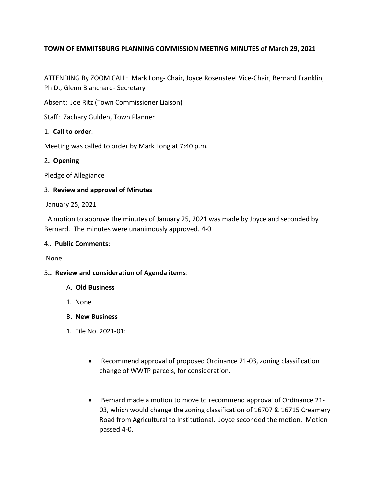# **TOWN OF EMMITSBURG PLANNING COMMISSION MEETING MINUTES of March 29, 2021**

ATTENDING By ZOOM CALL: Mark Long- Chair, Joyce Rosensteel Vice-Chair, Bernard Franklin, Ph.D., Glenn Blanchard- Secretary

Absent: Joe Ritz (Town Commissioner Liaison)

Staff: Zachary Gulden, Town Planner

# 1. **Call to order**:

Meeting was called to order by Mark Long at 7:40 p.m.

## 2**. Opening**

Pledge of Allegiance

# 3. **Review and approval of Minutes**

January 25, 2021

 A motion to approve the minutes of January 25, 2021 was made by Joyce and seconded by Bernard. The minutes were unanimously approved. 4-0

## 4.. **Public Comments**:

None.

## 5**.. Review and consideration of Agenda items**:

- A. **Old Business**
- 1. None
- B**. New Business**
- 1. File No. 2021-01:
	- Recommend approval of proposed Ordinance 21-03, zoning classification change of WWTP parcels, for consideration.
	- Bernard made a motion to move to recommend approval of Ordinance 21- 03, which would change the zoning classification of 16707 & 16715 Creamery Road from Agricultural to Institutional. Joyce seconded the motion. Motion passed 4-0.